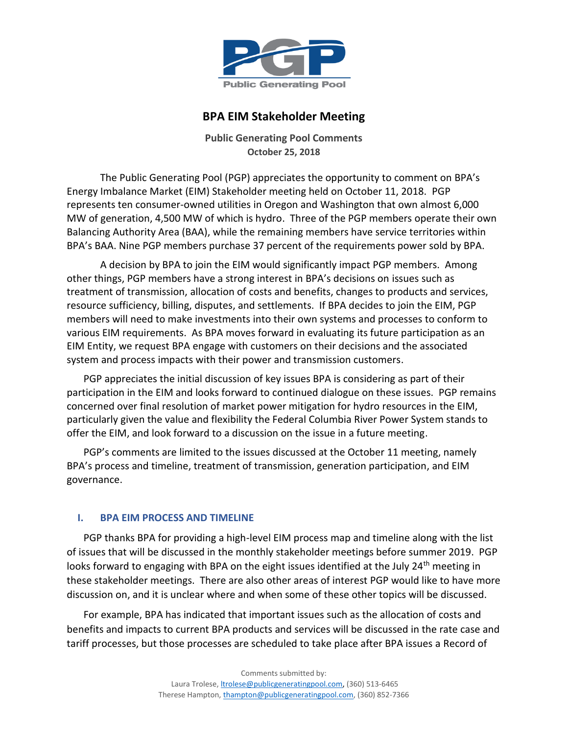

# **BPA EIM Stakeholder Meeting**

**Public Generating Pool Comments October 25, 2018**

The Public Generating Pool (PGP) appreciates the opportunity to comment on BPA's Energy Imbalance Market (EIM) Stakeholder meeting held on October 11, 2018. PGP represents ten consumer-owned utilities in Oregon and Washington that own almost 6,000 MW of generation, 4,500 MW of which is hydro. Three of the PGP members operate their own Balancing Authority Area (BAA), while the remaining members have service territories within BPA's BAA. Nine PGP members purchase 37 percent of the requirements power sold by BPA.

A decision by BPA to join the EIM would significantly impact PGP members. Among other things, PGP members have a strong interest in BPA's decisions on issues such as treatment of transmission, allocation of costs and benefits, changes to products and services, resource sufficiency, billing, disputes, and settlements. If BPA decides to join the EIM, PGP members will need to make investments into their own systems and processes to conform to various EIM requirements. As BPA moves forward in evaluating its future participation as an EIM Entity, we request BPA engage with customers on their decisions and the associated system and process impacts with their power and transmission customers.

PGP appreciates the initial discussion of key issues BPA is considering as part of their participation in the EIM and looks forward to continued dialogue on these issues. PGP remains concerned over final resolution of market power mitigation for hydro resources in the EIM, particularly given the value and flexibility the Federal Columbia River Power System stands to offer the EIM, and look forward to a discussion on the issue in a future meeting.

PGP's comments are limited to the issues discussed at the October 11 meeting, namely BPA's process and timeline, treatment of transmission, generation participation, and EIM governance.

## **I. BPA EIM PROCESS AND TIMELINE**

PGP thanks BPA for providing a high-level EIM process map and timeline along with the list of issues that will be discussed in the monthly stakeholder meetings before summer 2019. PGP looks forward to engaging with BPA on the eight issues identified at the July 24<sup>th</sup> meeting in these stakeholder meetings. There are also other areas of interest PGP would like to have more discussion on, and it is unclear where and when some of these other topics will be discussed.

For example, BPA has indicated that important issues such as the allocation of costs and benefits and impacts to current BPA products and services will be discussed in the rate case and tariff processes, but those processes are scheduled to take place after BPA issues a Record of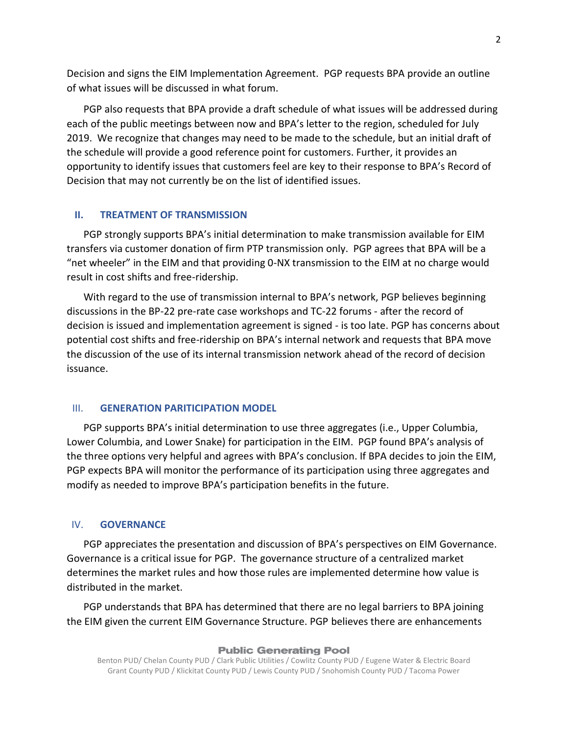Decision and signs the EIM Implementation Agreement. PGP requests BPA provide an outline of what issues will be discussed in what forum.

PGP also requests that BPA provide a draft schedule of what issues will be addressed during each of the public meetings between now and BPA's letter to the region, scheduled for July 2019. We recognize that changes may need to be made to the schedule, but an initial draft of the schedule will provide a good reference point for customers. Further, it provides an opportunity to identify issues that customers feel are key to their response to BPA's Record of Decision that may not currently be on the list of identified issues.

## **II. TREATMENT OF TRANSMISSION**

PGP strongly supports BPA's initial determination to make transmission available for EIM transfers via customer donation of firm PTP transmission only. PGP agrees that BPA will be a "net wheeler" in the EIM and that providing 0-NX transmission to the EIM at no charge would result in cost shifts and free-ridership.

With regard to the use of transmission internal to BPA's network, PGP believes beginning discussions in the BP-22 pre-rate case workshops and TC-22 forums - after the record of decision is issued and implementation agreement is signed - is too late. PGP has concerns about potential cost shifts and free-ridership on BPA's internal network and requests that BPA move the discussion of the use of its internal transmission network ahead of the record of decision issuance.

### III. **GENERATION PARITICIPATION MODEL**

PGP supports BPA's initial determination to use three aggregates (i.e., Upper Columbia, Lower Columbia, and Lower Snake) for participation in the EIM. PGP found BPA's analysis of the three options very helpful and agrees with BPA's conclusion. If BPA decides to join the EIM, PGP expects BPA will monitor the performance of its participation using three aggregates and modify as needed to improve BPA's participation benefits in the future.

### IV. **GOVERNANCE**

PGP appreciates the presentation and discussion of BPA's perspectives on EIM Governance. Governance is a critical issue for PGP. The governance structure of a centralized market determines the market rules and how those rules are implemented determine how value is distributed in the market.

PGP understands that BPA has determined that there are no legal barriers to BPA joining the EIM given the current EIM Governance Structure. PGP believes there are enhancements

#### **Public Generating Pool**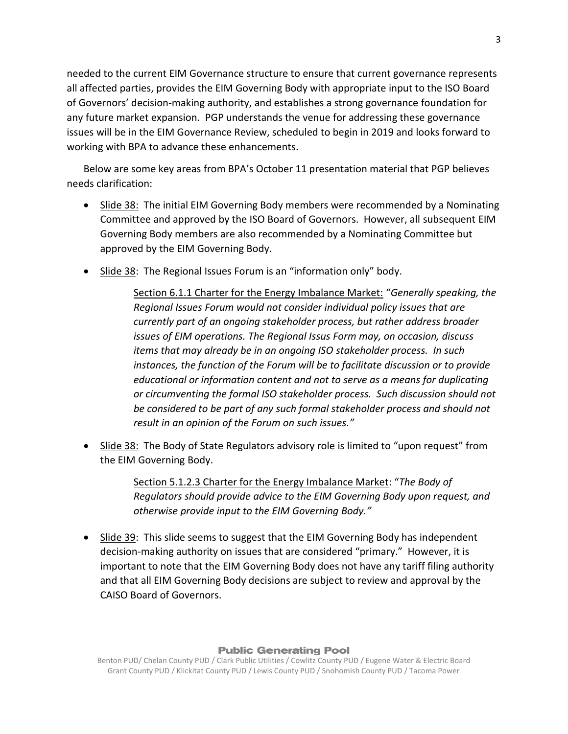needed to the current EIM Governance structure to ensure that current governance represents all affected parties, provides the EIM Governing Body with appropriate input to the ISO Board of Governors' decision-making authority, and establishes a strong governance foundation for any future market expansion. PGP understands the venue for addressing these governance issues will be in the EIM Governance Review, scheduled to begin in 2019 and looks forward to working with BPA to advance these enhancements.

Below are some key areas from BPA's October 11 presentation material that PGP believes needs clarification:

- Slide 38: The initial EIM Governing Body members were recommended by a Nominating Committee and approved by the ISO Board of Governors. However, all subsequent EIM Governing Body members are also recommended by a Nominating Committee but approved by the EIM Governing Body.
- Slide 38: The Regional Issues Forum is an "information only" body.

Section 6.1.1 Charter for the Energy Imbalance Market: "*Generally speaking, the Regional Issues Forum would not consider individual policy issues that are currently part of an ongoing stakeholder process, but rather address broader issues of EIM operations. The Regional Issus Form may, on occasion, discuss items that may already be in an ongoing ISO stakeholder process. In such instances, the function of the Forum will be to facilitate discussion or to provide educational or information content and not to serve as a means for duplicating or circumventing the formal ISO stakeholder process. Such discussion should not be considered to be part of any such formal stakeholder process and should not result in an opinion of the Forum on such issues."*

• Slide 38: The Body of State Regulators advisory role is limited to "upon request" from the EIM Governing Body.

> Section 5.1.2.3 Charter for the Energy Imbalance Market: "*The Body of Regulators should provide advice to the EIM Governing Body upon request, and otherwise provide input to the EIM Governing Body."*

• Slide 39: This slide seems to suggest that the EIM Governing Body has independent decision-making authority on issues that are considered "primary." However, it is important to note that the EIM Governing Body does not have any tariff filing authority and that all EIM Governing Body decisions are subject to review and approval by the CAISO Board of Governors.

## **Public Generating Pool**